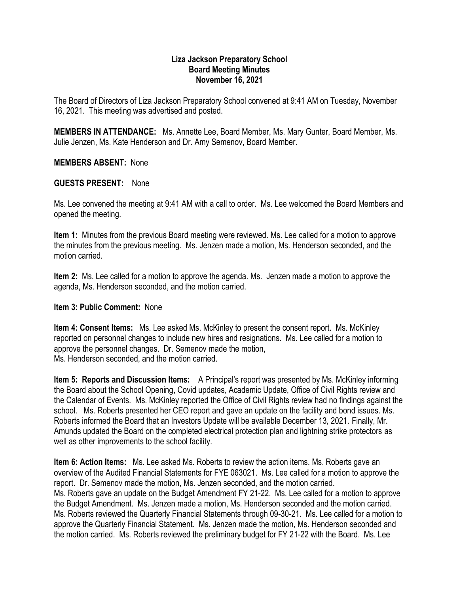## **Liza Jackson Preparatory School Board Meeting Minutes November 16, 2021**

The Board of Directors of Liza Jackson Preparatory School convened at 9:41 AM on Tuesday, November 16, 2021. This meeting was advertised and posted.

**MEMBERS IN ATTENDANCE:** Ms. Annette Lee, Board Member, Ms. Mary Gunter, Board Member, Ms. Julie Jenzen, Ms. Kate Henderson and Dr. Amy Semenov, Board Member.

**MEMBERS ABSENT:** None

## **GUESTS PRESENT:** None

Ms. Lee convened the meeting at 9:41 AM with a call to order. Ms. Lee welcomed the Board Members and opened the meeting.

**Item 1:** Minutes from the previous Board meeting were reviewed. Ms. Lee called for a motion to approve the minutes from the previous meeting. Ms. Jenzen made a motion, Ms. Henderson seconded, and the motion carried.

**Item 2:** Ms. Lee called for a motion to approve the agenda. Ms. Jenzen made a motion to approve the agenda, Ms. Henderson seconded, and the motion carried.

## **Item 3: Public Comment:** None

**Item 4: Consent Items:** Ms. Lee asked Ms. McKinley to present the consent report. Ms. McKinley reported on personnel changes to include new hires and resignations. Ms. Lee called for a motion to approve the personnel changes. Dr. Semenov made the motion, Ms. Henderson seconded, and the motion carried.

**Item 5: Reports and Discussion Items:** A Principal's report was presented by Ms. McKinley informing the Board about the School Opening, Covid updates, Academic Update, Office of Civil Rights review and the Calendar of Events. Ms. McKinley reported the Office of Civil Rights review had no findings against the school. Ms. Roberts presented her CEO report and gave an update on the facility and bond issues. Ms. Roberts informed the Board that an Investors Update will be available December 13, 2021. Finally, Mr. Amunds updated the Board on the completed electrical protection plan and lightning strike protectors as well as other improvements to the school facility.

**Item 6: Action Items:** Ms. Lee asked Ms. Roberts to review the action items. Ms. Roberts gave an overview of the Audited Financial Statements for FYE 063021. Ms. Lee called for a motion to approve the report. Dr. Semenov made the motion, Ms. Jenzen seconded, and the motion carried. Ms. Roberts gave an update on the Budget Amendment FY 21-22. Ms. Lee called for a motion to approve the Budget Amendment. Ms. Jenzen made a motion, Ms. Henderson seconded and the motion carried. Ms. Roberts reviewed the Quarterly Financial Statements through 09-30-21. Ms. Lee called for a motion to approve the Quarterly Financial Statement. Ms. Jenzen made the motion, Ms. Henderson seconded and the motion carried. Ms. Roberts reviewed the preliminary budget for FY 21-22 with the Board. Ms. Lee